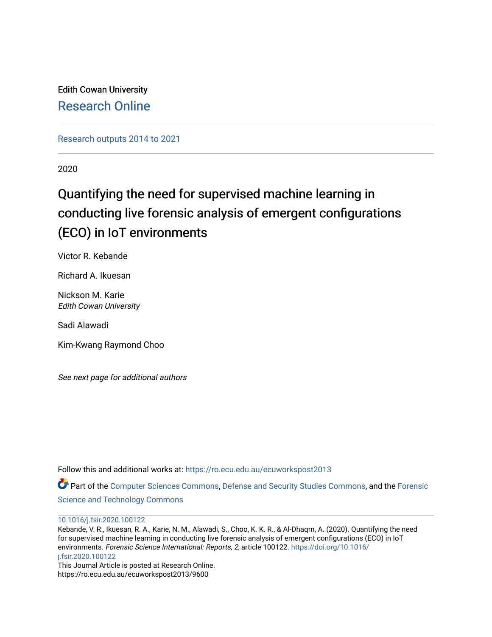Edith Cowan University [Research Online](https://ro.ecu.edu.au/) 

[Research outputs 2014 to 2021](https://ro.ecu.edu.au/ecuworkspost2013) 

2020

# Quantifying the need for supervised machine learning in conducting live forensic analysis of emergent configurations (ECO) in IoT environments

Victor R. Kebande

Richard A. Ikuesan

Nickson M. Karie Edith Cowan University

Sadi Alawadi

Kim-Kwang Raymond Choo

See next page for additional authors

Follow this and additional works at: [https://ro.ecu.edu.au/ecuworkspost2013](https://ro.ecu.edu.au/ecuworkspost2013?utm_source=ro.ecu.edu.au%2Fecuworkspost2013%2F9600&utm_medium=PDF&utm_campaign=PDFCoverPages) 

Part of the [Computer Sciences Commons](http://network.bepress.com/hgg/discipline/142?utm_source=ro.ecu.edu.au%2Fecuworkspost2013%2F9600&utm_medium=PDF&utm_campaign=PDFCoverPages), [Defense and Security Studies Commons](http://network.bepress.com/hgg/discipline/394?utm_source=ro.ecu.edu.au%2Fecuworkspost2013%2F9600&utm_medium=PDF&utm_campaign=PDFCoverPages), and the [Forensic](http://network.bepress.com/hgg/discipline/1277?utm_source=ro.ecu.edu.au%2Fecuworkspost2013%2F9600&utm_medium=PDF&utm_campaign=PDFCoverPages) [Science and Technology Commons](http://network.bepress.com/hgg/discipline/1277?utm_source=ro.ecu.edu.au%2Fecuworkspost2013%2F9600&utm_medium=PDF&utm_campaign=PDFCoverPages)

[10.1016/j.fsir.2020.100122](http://dx.doi.org/10.1016/j.fsir.2020.100122) 

Kebande, V. R., Ikuesan, R. A., Karie, N. M., Alawadi, S., Choo, K. K. R., & Al-Dhaqm, A. (2020). Quantifying the need for supervised machine learning in conducting live forensic analysis of emergent configurations (ECO) in IoT environments. Forensic Science International: Reports, 2, article 100122. [https://doi.org/10.1016/](https://doi.org/10.1016/j.fsir.2020.100122) [j.fsir.2020.100122](https://doi.org/10.1016/j.fsir.2020.100122)

This Journal Article is posted at Research Online. https://ro.ecu.edu.au/ecuworkspost2013/9600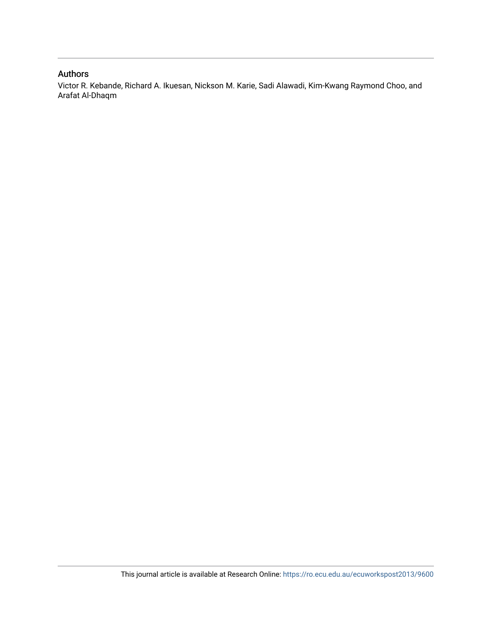### Authors

Victor R. Kebande, Richard A. Ikuesan, Nickson M. Karie, Sadi Alawadi, Kim-Kwang Raymond Choo, and Arafat Al-Dhaqm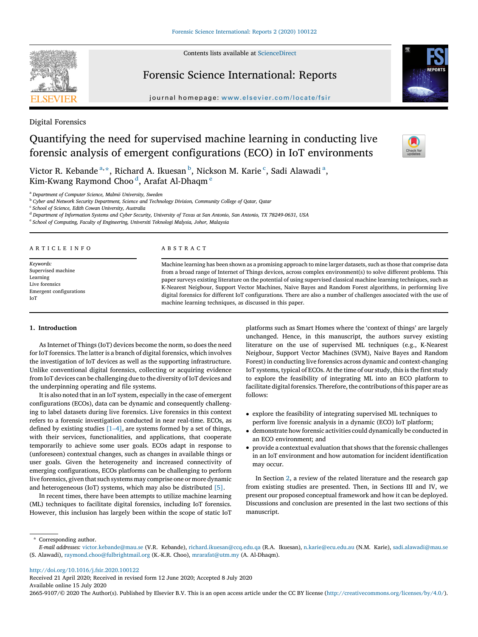Contents lists available at [ScienceDirect](http://www.sciencedirect.com/science/journal/26659107)

## Forensic Science International: Reports

 $j$  oursation homepage: which is interested in  $\mathcal{L}$ 

Digital Forensics

## Quantifying the need for supervised machine learning in conducting live forensic analysis of emergent configurations (ECO) in IoT environments

Victor R. Kebande<sup>a,\*</sup>, Richard A. Ikuesan <sup>b</sup>, Nickson M. Karie<sup>c</sup>, Sadi Alawadi<sup>a</sup>, Kim-Kwang Raymond Choo<sup>d</sup>, Arafat Al-Dhaqm <sup>e</sup>

A B S T R A C T

<sup>a</sup> Department of Computer Science, Malmö University, Sweden

<sup>b</sup> Cyber and Network Security Department, Science and Technology Division, Community College of Qatar, Qatar

<sup>c</sup> School of Science, Edith Cowan University, Australia

<sup>d</sup> Department of Information Systems and Cyber Security, University of Texas at San Antonio, San Antonio, TX 78249-0631, USA

<sup>e</sup> School of Computing, Faculty of Engineering, Universiti Teknologi Malysia, Johor, Malaysia

Machine learning has been shown as a promising approach to mine larger datasets, such as those that comprise data from a broad range of Internet of Things devices, across complex environment(s) to solve different problems. This paper surveys existing literature on the potential of using supervised classical machine learning techniques, such as K-Nearest Neigbour, Support Vector Machines, Naive Bayes and Random Forest algorithms, in performing live digital forensics for different IoT configurations. There are also a number of challenges associated with the use of machine learning techniques, as discussed in this paper.

#### 1. Introduction

A R T I C L E I N F O

Keywords: Supervised machine Learning Live forensics Emergent configurations

IoT

As Internet of Things (IoT) devices become the norm, so does the need for IoT forensics. The latter is a branch of digital forensics, which involves the investigation of IoT devices as well as the supporting infrastructure. Unlike conventional digital forensics, collecting or acquiring evidence from IoT devices can be challenging due to the diversity of IoT devices and the underpinning operating and file systems.

It is also noted that in an IoT system, especially in the case of emergent configurations (ECOs), data can be dynamic and consequently challenging to label datasets during live forensics. Live forensics in this context refers to a forensic investigation conducted in near real-time. ECOs, as defined by existing studies [\[1](#page-8-0)–4], are systems formed by a set of things, with their services, functionalities, and applications, that cooperate temporarily to achieve some user goals. ECOs adapt in response to (unforeseen) contextual changes, such as changes in available things or user goals. Given the heterogeneity and increased connectivity of emerging configurations, ECOs platforms can be challenging to perform live forensics, given that such systems may comprise one or more dynamic and heterogeneous (IoT) systems, which may also be distributed [\[5\]](#page-8-0).

In recent times, there have been attempts to utilize machine learning (ML) techniques to facilitate digital forensics, including IoT forensics. However, this inclusion has largely been within the scope of static IoT platforms such as Smart Homes where the 'context of things' are largely unchanged. Hence, in this manuscript, the authors survey existing literature on the use of supervised ML techniques (e.g., K-Nearest Neigbour, Support Vector Machines (SVM), Naive Bayes and Random Forest) in conducting live forensics across dynamic and context-changing IoT systems, typical of ECOs. At the time of our study, this is the first study to explore the feasibility of integrating ML into an ECO platform to facilitate digital forensics. Therefore, the contributions of this paper are as follows:

- explore the feasibility of integrating supervised ML techniques to perform live forensic analysis in a dynamic (ECO) IoT platform;
- demonstrate how forensic activities could dynamically be conducted in an ECO environment; and
- provide a contextual evaluation that shows that the forensic challenges in an IoT environment and how automation for incident identification may occur.

In Section [2](#page-3-0), a review of the related literature and the research gap from existing studies are presented. Then, in Sections III and IV, we present our proposed conceptual framework and how it can be deployed. Discussions and conclusion are presented in the last two sections of this manuscript.

Corresponding author.

[http://doi.org/10.1016/j.fsir.2020.100122](http://dx.doi.org/10.1016/j.fsir.2020.100122)

Received 21 April 2020; Received in revised form 12 June 2020; Accepted 8 July 2020

Available online 15 July 2020







E-mail addresses: [victor.kebande@mau.se](mailto:victor.kebande@mau.se) (V.R. Kebande), [richard.ikuesan@ccq.edu.qa](mailto:richard.ikuesan@ccq.edu.qa) (R.A. Ikuesan), [n.karie@ecu.edu.au](mailto:n.karie@ecu.edu.au) (N.M. Karie), [sadi.alawadi@mau.se](mailto:sadi.alawadi@mau.se) (S. Alawadi), [raymond.choo@fulbrightmail.org](mailto:raymond.choo@fulbrightmail.org) (K.-K.R. Choo), [mrarafat@utm.my](mailto:mrarafat@utm.my) (A. Al-Dhaqm).

<sup>2665-9107/©</sup> 2020 The Author(s). Published by Elsevier B.V. This is an open access article under the CC BY license [\(http://creativecommons.org/licenses/by/4.0/\)](http://creativecommons.org/licenses/by/4.0/).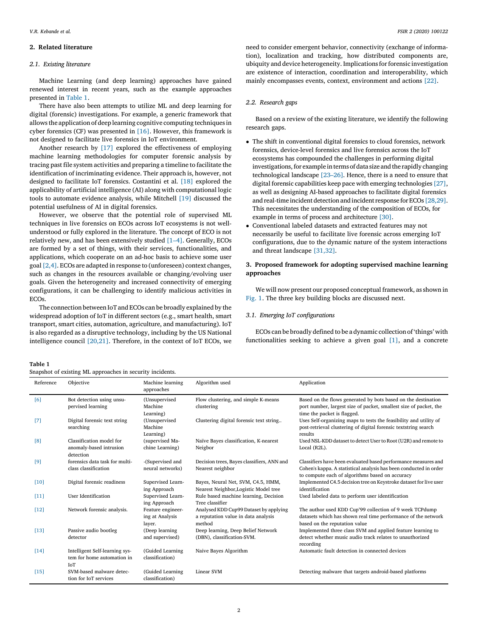#### <span id="page-3-0"></span>2. Related literature

#### 2.1. Existing literature

Machine Learning (and deep learning) approaches have gained renewed interest in recent years, such as the example approaches presented in Table 1.

There have also been attempts to utilize ML and deep learning for digital (forensic) investigations. For example, a generic framework that allows the application of deep learning cognitive computing techniques in cyber forensics (CF) was presented in [\[16\]](#page-8-0). However, this framework is not designed to facilitate live forensics in IoT environment.

Another research by [\[17\]](#page-8-0) explored the effectiveness of employing machine learning methodologies for computer forensic analysis by tracing past file system activities and preparing a timeline to facilitate the identification of incriminating evidence. Their approach is, however, not designed to facilitate IoT forensics. Costantini et al. [\[18\]](#page-8-0) explored the applicability of artificial intelligence (AI) along with computational logic tools to automate evidence analysis, while Mitchell [\[19\]](#page-8-0) discussed the potential usefulness of AI in digital forensics.

However, we observe that the potential role of supervised ML techniques in live forensics on ECOs across IoT ecosystems is not wellunderstood or fully explored in the literature. The concept of ECO is not relatively new, and has been extensively studied [1–[4\].](#page-8-0) Generally, ECOs are formed by a set of things, with their services, functionalities, and applications, which cooperate on an ad-hoc basis to achieve some user goal [\[2,4\]](#page-8-0). ECOs are adapted in response to (unforeseen) context changes, such as changes in the resources available or changing/evolving user goals. Given the heterogeneity and increased connectivity of emerging configurations, it can be challenging to identify malicious activities in ECOs.

The connection between IoT and ECOs can be broadly explained by the widespread adoption of IoT in different sectors (e.g., smart health, smart transport, smart cities, automation, agriculture, and manufacturing). IoT is also regarded as a disruptive technology, including by the US National intelligence council [\[20,21\]](#page-8-0). Therefore, in the context of IoT ECOs, we

need to consider emergent behavior, connectivity (exchange of information), localization and tracking, how distributed components are, ubiquity and device heterogeneity. Implications for forensic investigation are existence of interaction, coordination and interoperability, which mainly encompasses events, context, environment and actions [\[22\]](#page-8-0).

#### 2.2. Research gaps

Based on a review of the existing literature, we identify the following research gaps.

- The shift in conventional digital forensics to cloud forensics, network forensics, device-level forensics and live forensics across the IoT ecosystems has compounded the challenges in performing digital investigations, for example in terms of data size and the rapidly changing technological landscape [23–[26\].](#page-8-0) Hence, there is a need to ensure that digital forensic capabilities keep pace with emerging technologies [\[27\]](#page-8-0), as well as designing AI-based approaches to facilitate digital forensics and real-time incident detection and incident response for ECOs  $[28,29]$ . This necessitates the understanding of the composition of ECOs, for example in terms of process and architecture [\[30\]](#page-8-0).
- Conventional labeled datasets and extracted features may not necessarily be useful to facilitate live forensic across emerging IoT configurations, due to the dynamic nature of the system interactions and threat landscape [\[31,32\].](#page-8-0)

#### 3. Proposed framework for adopting supervised machine learning approaches

We will now present our proposed conceptual framework, as shown in [Fig.](#page-4-0) 1. The three key building blocks are discussed next.

#### 3.1. Emerging IoT configurations

ECOs can be broadly defined to be a dynamic collection of'things' with functionalities seeking to achieve a given goal [\[1\]](#page-8-0), and a concrete

Table 1

| Snapshot of existing ML approaches in security incidents. |  |  |  |  |
|-----------------------------------------------------------|--|--|--|--|
|-----------------------------------------------------------|--|--|--|--|

| Reference | Objective                                                           | Machine learning<br>approaches                 | Algorithm used                                                                          | Application                                                                                                                                                                            |
|-----------|---------------------------------------------------------------------|------------------------------------------------|-----------------------------------------------------------------------------------------|----------------------------------------------------------------------------------------------------------------------------------------------------------------------------------------|
| [6]       | Bot detection using unsu-<br>pervised learning                      | (Unsupervised<br>Machine<br>Learning)          | Flow clustering, and simple K-means<br>clustering                                       | Based on the flows generated by bots based on the destination<br>port number, largest size of packet, smallest size of packet, the<br>time the packet is flagged.                      |
| [7]       | Digital forensic text string<br>searching                           | (Unsupervised<br>Machine<br>Learning)          | Clustering digital forensic text string                                                 | Uses Self-organizing maps to tests the feasibility and utility of<br>post-retrieval clustering of digital forensic textstring search<br>results                                        |
| [8]       | Classification model for<br>anomaly-based intrusion<br>detection    | (supervised Ma-<br>chine Learning)             | Naïve Bayes classification, K-nearest<br>Neigbor                                        | Used NSL-KDD dataset to detect User to Root (U2R) and remote to<br>Local (R2L).                                                                                                        |
| [9]       | forensics data task for multi-<br>class classification              | -(Supervised and<br>neural networks)           | Decision trees, Bayes classifiers, ANN and<br>Nearest neighbor                          | Classifiers have been evaluated based performance measures and<br>Cohen's kappa. A statistical analysis has been conducted in order<br>to compute each of algorithms based on accuracy |
| [10]      | Digital forensic readiness                                          | Supervised Learn-<br>ing Approach              | Bayes, Neural Net, SVM, C4.5, HMM,<br>Nearest Neighbor, Logistic Model tree             | Implemented C4.5 decision tree on Keystroke dataset for live user<br>identification                                                                                                    |
| [11]      | User Identification                                                 | Supervised Learn-<br>ing Approach              | Rule based machine learning, Decision<br>Tree classifier                                | Used labeled data to perform user identification                                                                                                                                       |
| [12]      | Network forensic analysis.                                          | Feature engineer-<br>ing at Analysis<br>layer. | Analysed KDD Cup99 Dataset by applying<br>a reputation value in data analysis<br>method | The author used KDD Cup'99 collection of 9 week TCPdump<br>datasets which has shown real time performance of the network<br>based on the reputation value                              |
| [13]      | Passive audio bootleg<br>detector                                   | (Deep learning)<br>and supervised)             | Deep learning, Deep Belief Network<br>(DBN), classification-SVM.                        | Implemented three class SVM and applied feature learning to<br>detect whether music audio track relates to unauthorized<br>recording                                                   |
| [14]      | Intelligent Self-learning sys-<br>tem for home automation in<br>IoT | (Guided Learning<br>classification)            | Naive Bayes Algorithm                                                                   | Automatic fault detection in connected devices                                                                                                                                         |
| [15]      | SVM-based malware detec-<br>tion for IoT services                   | (Guided Learning<br>classification)            | Linear SVM                                                                              | Detecting malware that targets android-based platforms                                                                                                                                 |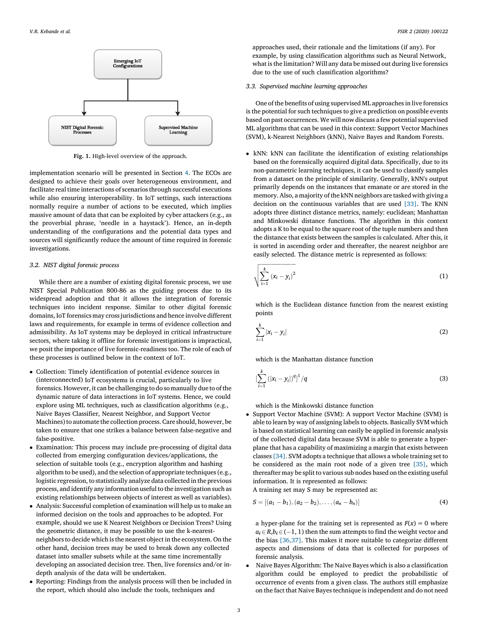<span id="page-4-0"></span>

Fig. 1. High-level overview of the approach.

implementation scenario will be presented in Section [4.](#page-6-0) The ECOs are designed to achieve their goals over heterogeneous environment, and facilitate real time interactions of scenarios through successful executions while also ensuring interoperability. In IoT settings, such interactions normally require a number of actions to be executed, which implies massive amount of data that can be exploited by cyber attackers (e.g., as the proverbial phrase, 'needle in a haystack'). Hence, an in-depth understanding of the configurations and the potential data types and sources will significantly reduce the amount of time required in forensic investigations.

#### 3.2. NIST digital forensic process

While there are a number of existing digital forensic process, we use NIST Special Publication 800-86 as the guiding process due to its widespread adoption and that it allows the integration of forensic techniques into incident response. Similar to other digital forensic domains, IoT forensics may crossjurisdictions and hence involve different laws and requirements, for example in terms of evidence collection and admissibility. As IoT systems may be deployed in critical infrastructure sectors, where taking it offline for forensic investigations is impractical, we posit the importance of live forensic-readiness too. The role of each of these processes is outlined below in the context of IoT.

- Collection: Timely identification of potential evidence sources in (interconnected) IoT ecosystems is crucial, particularly to live forensics. However, it can be challenging to do so manually due to of the dynamic nature of data interactions in IoT systems. Hence, we could explore using ML techniques, such as classification algorithms (e.g., Naive Bayes Classifier, Nearest Neighbor, and Support Vector Machines) to automate the collection process. Care should, however, be taken to ensure that one strikes a balance between false-negative and false-positive.
- Examination: This process may include pre-processing of digital data collected from emerging configuration devices/applications, the selection of suitable tools (e.g., encryption algorithm and hashing algorithm to be used), and the selection of appropriate techniques(e.g., logistic regression, to statistically analyze data collected in the previous process, and identify any information useful to the investigation such as existing relationships between objects of interest as well as variables).
- Analysis: Successful completion of examination will help us to make an informed decision on the tools and approaches to be adopted. For example, should we use K Nearest Neighbors or Decision Trees? Using the geometric distance, it may be possible to use the k-nearestneighbors to decide which is the nearest object in the ecosystem. On the other hand, decision trees may be used to break down any collected dataset into smaller subsets while at the same time incrementally developing an associated decision tree. Then, live forensics and/or indepth analysis of the data will be undertaken.
- Reporting: Findings from the analysis process will then be included in the report, which should also include the tools, techniques and

approaches used, their rationale and the limitations (if any). For example, by using classification algorithms such as Neural Network, what isthe limitation? Will any data be missed out during live forensics due to the use of such classification algorithms?

#### 3.3. Supervised machine learning approaches

One of the benefits of using supervised ML approaches in live forensics is the potential for such techniques to give a prediction on possible events based on past occurrences. We will now discuss a few potential supervised ML algorithms that can be used in this context: Support Vector Machines (SVM), k-Nearest Neighbors (kNN), Naive Bayes and Random Forests.

 kNN: kNN can facilitate the identification of existing relationships based on the forensically acquired digital data. Specifically, due to its non-parametric learning techniques, it can be used to classify samples from a dataset on the principle of similarity. Generally, kNN's output primarily depends on the instances that emanate or are stored in the memory. Also, a majority of the kNN neighbors are tasked with giving a decision on the continuous variables that are used [\[33\]](#page-8-0). The KNN adopts three distinct distance metrics, namely: euclidean; Manhattan and Minkowski distance functions. The algorithm in this context adopts a K to be equal to the square root of the tuple numbers and then the distance that exists between the samples is calculated. After this, it is sorted in ascending order and thereafter, the nearest neighbor are easily selected. The distance metric is represented as follows:

$$
\sqrt{\sum_{i=1}^{k} (x_i - y_i)^2}
$$
 (1)

which is the Euclidean distance function from the nearest existing points

$$
\sum_{i=1}^k |x_i - y_i| \tag{2}
$$

which is the Manhattan distance function

$$
\left[\sum_{i=1}^{k} (|x_i - y_i|)^q\right]^1/q \tag{3}
$$

which is the Minkowski distance function

• Support Vector Machine (SVM): A support Vector Machine (SVM) is able to learn by way of assigning labels to objects. Basically SVM which is based on statistical learning can easily be applied in forensic analysis of the collected digital data because SVM is able to generate a hyperplane that has a capability of maximizing a margin that exists between classes [\[34\]](#page-8-0). SVM adopts a technique that allows a whole training set to be considered as the main root node of a given tree [\[35\],](#page-8-0) which thereafter may be split to various sub nodes based on the existing useful information. It is represented as follows:

A training set may S may be represented as:

$$
S = [(a_1 - b_1), (a_2 - b_2), \ldots, (a_n - b_n)]
$$
\n(4)

a hyper-plane for the training set is represented as  $F(x) = 0$  where  $a_i \in R$ ,  $b_i \in (-1, 1)$  then the sum attempts to find the weight vector and the bias [\[36,37\].](#page-8-0) This makes it more suitable to categorize different aspects and dimensions of data that is collected for purposes of forensic analysis.

 Naive Bayes Algorithm: The Naive Bayes which is also a classification algorithm could be employed to predict the probabilistic of occurrence of events from a given class. The authors still emphasize on the fact that Naive Bayes technique is independent and do not need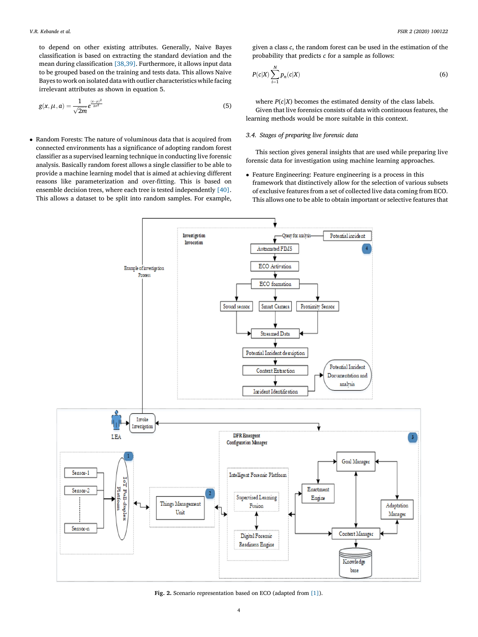<span id="page-5-0"></span>to depend on other existing attributes. Generally, Naive Bayes classification is based on extracting the standard deviation and the mean during classification [\[38,39\]](#page-8-0). Furthermore, it allows input data to be grouped based on the training and tests data. This allows Naive Bayestowork on isolated datawith outlier characteristics while facing irrelevant attributes as shown in equation 5.

$$
g(x, \mu, a) = \frac{1}{\sqrt{2m}} e^{\frac{(x-\mu)^2}{2\sigma^2}}
$$
(5)

 Random Forests: The nature of voluminous data that is acquired from connected environments has a significance of adopting random forest classifier as a supervised learning technique in conducting live forensic analysis. Basically random forest allows a single classifier to be able to provide a machine learning model that is aimed at achieving different reasons like parameterization and over-fitting. This is based on ensemble decision trees, where each tree is tested independently [\[40\]](#page-8-0). This allows a dataset to be split into random samples. For example,

given a class c, the random forest can be used in the estimation of the probability that predicts c for a sample as follows:

$$
P(c|X) \sum_{i=1}^{N} p_n(c|X) \tag{6}
$$

where  $P(c|X)$  becomes the estimated density of the class labels. Given that live forensics consists of data with continuous features, the learning methods would be more suitable in this context.

#### 3.4. Stages of preparing live forensic data

This section gives general insights that are used while preparing live forensic data for investigation using machine learning approaches.

 Feature Engineering: Feature engineering is a process in this framework that distinctively allow for the selection of various subsets of exclusive features from a set of collected live data coming from ECO. This allows one to be able to obtain important or selective features that



Fig. 2. Scenario representation based on ECO (adapted from [\[1\]\)](#page-8-0).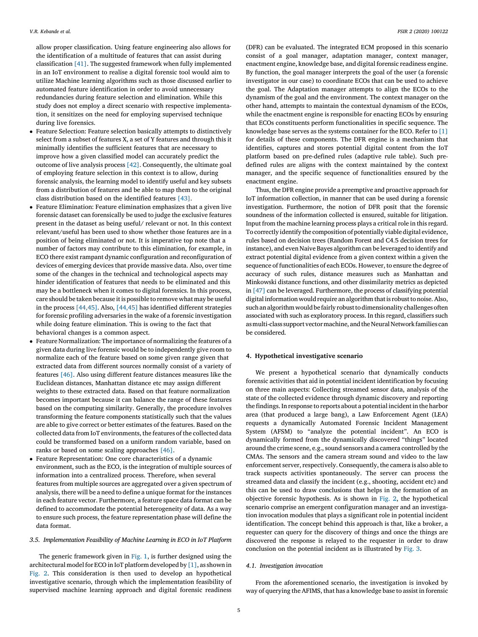<span id="page-6-0"></span>allow proper classification. Using feature engineering also allows for the identification of a multitude of features that can assist during classification [\[41\]](#page-8-0). The suggested framework when fully implemented in an IoT environment to realise a digital forensic tool would aim to utilize Machine learning algorithms such as those discussed earlier to automated feature identification in order to avoid unnecessary redundancies during feature selection and elimination. While this study does not employ a direct scenario with respective implementation, it sensitizes on the need for employing supervised technique during live forensics.

- Feature Selection: Feature selection basically attempts to distinctively select from a subset of features X, a set of Y features and through this it minimally identifies the sufficient features that are necessary to improve how a given classified model can accurately predict the outcome of live analysis process [\[42\].](#page-8-0) Consequently, the ultimate goal of employing feature selection in this context is to allow, during forensic analysis, the learning model to identify useful and key subsets from a distribution of features and be able to map them to the original class distribution based on the identified features [\[43\]](#page-8-0).
- Feature Elimination: Feature elimination emphasizes that a given live forensic dataset can forensically be used to judge the exclusive features present in the dataset as being useful/ relevant or not. In this context relevant/useful has been used to show whether those features are in a position of being eliminated or not. It is imperative top note that a number of factors may contribute to this elimination, for example, in ECO there exist rampant dynamic configuration and reconfiguration of devices of emerging devices that provide massive data. Also, over time some of the changes in the technical and technological aspects may hinder identification of features that needs to be eliminated and this may be a bottleneck when it comes to digital forensics. In this process, care should be taken because it is possible to remove what may be useful in the process [\[44,45\].](#page-8-0) Also, [\[44,45\]](#page-8-0) has identified different strategies for forensic profiling adversaries in the wake of a forensic investigation while doing feature elimination. This is owing to the fact that behavioral changes is a common aspect.
- Feature Normalization: The importance of normalizing the features of a given data during live forensic would be to independently give room to normalize each of the feature based on some given range given that extracted data from different sources normally consist of a variety of features [\[46\]](#page-9-0). Also using different feature distances measures like the Euclidean distances, Manhattan distance etc may assign different weights to these extracted data. Based on that feature normalization becomes important because it can balance the range of these features based on the computing similarity. Generally, the procedure involves transforming the feature components statistically such that the values are able to give correct or better estimates of the features. Based on the collected data from IoT environments, the features of the collected data could be transformed based on a uniform random variable, based on ranks or based on some scaling approaches [\[46\]](#page-9-0).
- Feature Representation: One core characteristics of a dynamic environment, such as the ECO, is the integration of multiple sources of information into a centralized process. Therefore, when several features from multiple sources are aggregated over a given spectrum of analysis, there will be a need to define a unique format for the instances in each feature vector. Furthermore, a feature space data format can be defined to accommodate the potential heterogeneity of data. As a way to ensure such process, the feature representation phase will define the data format.

#### 3.5. Implementation Feasibility of Machine Learning in ECO in IoT Platform

The generic framework given in [Fig.](#page-4-0) 1, is further designed using the architectural model for ECO in IoT platform developed by [\[1\]](#page-8-0), as shown in [Fig.](#page-5-0) 2. This consideration is then used to develop an hypothetical investigative scenario, through which the implementation feasibility of supervised machine learning approach and digital forensic readiness (DFR) can be evaluated. The integrated ECM proposed in this scenario consist of a goal manager, adaptation manager, context manager, enactment engine, knowledge base, and digital forensic readiness engine. By function, the goal manager interprets the goal of the user (a forensic investigator in our case) to coordinate ECOs that can be used to achieve the goal. The Adaptation manager attempts to align the ECOs to the dynamism of the goal and the environment. The context manager on the other hand, attempts to maintain the contextual dynamism of the ECOs, while the enactment engine is responsible for enacting ECOs by ensuring that ECOs constituents perform functionalities in specific sequence. The knowledge base serves as the systems container for the ECO. Refer to [\[1\]](#page-8-0) for details of these components. The DFR engine is a mechanism that identifies, captures and stores potential digital content from the IoT platform based on pre-defined rules (adaptive rule table). Such predefined rules are aligns with the context maintained by the context manager, and the specific sequence of functionalities ensured by the enactment engine.

Thus, the DFR engine provide a preemptive and proactive approach for IoT information collection, in manner that can be used during a forensic investigation. Furthermore, the notion of DFR posit that the forensic soundness of the information collected is ensured, suitable for litigation. Input from the machine learning process plays a critical role in this regard. To correctly identify the composition of potentially viabledigital evidence, rules based on decision trees (Random Forest and C4.5 decision trees for instance), and even Naive Bayes algorithm can be leveraged to identify and extract potential digital evidence from a given context within a given the sequence of functionalities of each ECOs. However, to ensure the degree of accuracy of such rules, distance measures such as Manhattan and Minkowski distance functions, and other dissimilarity metrics as depicted in [\[47\]](#page-9-0) can be leveraged. Furthermore, the process of classifying potential digital information would require an algorithm that is robust to noise. Also, such an algorithm would be fairly robust to dimensionality challenges often associated with such as exploratory process. In this regard, classifiers such as multi-class support vector machine, and the Neural Network families can be considered.

#### 4. Hypothetical investigative scenario

We present a hypothetical scenario that dynamically conducts forensic activities that aid in potential incident identification by focusing on three main aspects: Collecting streamed sensor data, analysis of the state of the collected evidence through dynamic discovery and reporting the findings. In response to reports about a potential incident in the harbor area (that produced a large bang), a Law Enforcement Agent (LEA) requests a dynamically Automated Forensic Incident Management System (AFSM) to "analyze the potential incident". An ECO is dynamically formed from the dynamically discovered "things" located around the crime scene, e.g., sound sensors and a camera controlled by the CMAs. The sensors and the camera stream sound and video to the law enforcement server, respectively. Consequently, the camera is also able to track suspects activities spontaneously. The server can process the streamed data and classify the incident (e.g., shooting, accident etc) and this can be used to draw conclusions that helps in the formation of an objective forensic hypothesis. As is shown in [Fig.](#page-5-0) 2, the hypothetical scenario comprise an emergent configuration manager and an investigation invocation modules that plays a significant role in potential incident identification. The concept behind this approach is that, like a broker, a requester can query for the discovery of things and once the things are discovered the response is relayed to the requester in order to draw conclusion on the potential incident as is illustrated by [Fig.](#page-7-0) 3.

#### 4.1. Investigation invocation

From the aforementioned scenario, the investigation is invoked by way of querying the AFIMS, that has a knowledge base to assist in forensic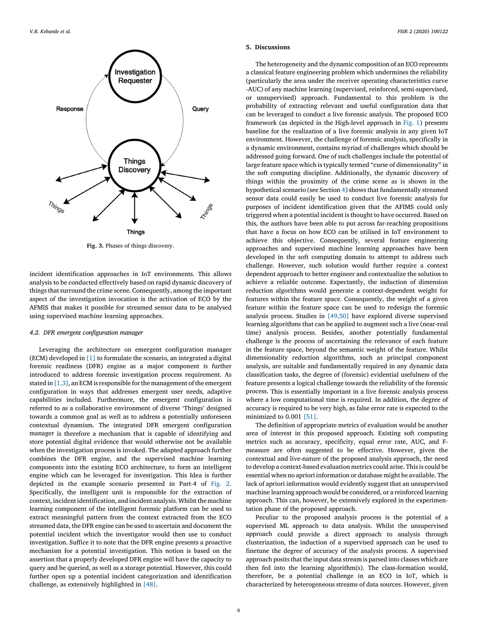<span id="page-7-0"></span>

Fig. 3. Phases of things discovery.

incident identification approaches in IoT environments. This allows analysis to be conducted effectively based on rapid dynamic discovery of things that surround the crime scene. Consequently, among the important aspect of the investigation invocation is the activation of ECO by the AFMIS that makes it possible for streamed sensor data to be analysed using supervised machine learning approaches.

#### 4.2. DFR emergent configuration manager

Leveraging the architecture on emergent configuration manager (ECM) developed in [\[1\]](#page-8-0) to formulate the scenario, an integrated a digital forensic readiness (DFR) engine as a major component is further introduced to address forensic investigation process requirement. As stated in  $[1,3]$ , an ECM is responsible for the management of the emergent configuration in ways that addresses emergent user needs, adaptive capabilities included. Furthermore, the emergent configuration is referred to as a collaborative environment of diverse 'Things' designed towards a common goal as well as to address a potentially unforeseen contextual dynamism. The integrated DFR emergent configuration manager is therefore a mechanism that is capable of identifying and store potential digital evidence that would otherwise not be available when the investigation process is invoked. The adapted approach further combines the DFR engine, and the supervised machine learning components into the existing ECO architecture, to form an intelligent engine which can be leveraged for investigation. This Idea is further depicted in the example scenario presented in Part-4 of [Fig.](#page-5-0) 2. Specifically, the intelligent unit is responsible for the extraction of context, incident identification, and incident analysis. Whilst the machine learning component of the intelligent forensic platform can be used to extract meaningful pattern from the context extracted from the ECO streamed data, the DFR engine can be used to ascertain and document the potential incident which the investigator would then use to conduct investigation. Suffice it to note that the DFR engine presents a proactive mechanism for a potential investigation. This notion is based on the assertion that a properly developed DFR engine will have the capacity to query and be queried, as well as a storage potential. However, this could further open up a potential incident categorization and identification challenge, as extensively highlighted in [\[48\]](#page-9-0).

#### 5. Discussions

The heterogeneity and the dynamic composition of an ECO represents a classical feature engineering problem which undermines the reliability (particularly the area under the receiver operating characteristics curve -AUC) of any machine learning (supervised, reinforced, semi-supervised, or unsupervised) approach. Fundamental to this problem is the probability of extracting relevant and useful configuration data that can be leveraged to conduct a live forensic analysis. The proposed ECO framework (as depicted in the High-level approach in [Fig.](#page-4-0) 1) presents baseline for the realization of a live forensic analysis in any given IoT environment. However, the challenge of forensic analysis, specifically in a dynamic environment, contains myriad of challenges which should be addressed going forward. One of such challenges include the potential of large feature space which istypically termed "curse of dimensionality" in the soft computing discipline. Additionally, the dynamic discovery of things within the proximity of the crime scene as is shown in the hypothetical scenario (see Section [4](#page-6-0)) shows that fundamentally streamed sensor data could easily be used to conduct live forensic analysis for purposes of incident identification given that the AFIMS could only triggered when a potential incident isthought to have occurred. Based on this, the authors have been able to put across far-reaching propositions that have a focus on how ECO can be utilised in IoT environment to achieve this objective. Consequently, several feature engineering approaches and supervised machine learning approaches have been developed in the soft computing domain to attempt to address such challenge. However, such solution would further require a context dependent approach to better engineer and contextualize the solution to achieve a reliable outcome. Expectantly, the induction of dimension reduction algorithms would generate a context-dependent weight for features within the feature space. Consequently, the weight of a given feature within the feature space can be used to redesign the forensic analysis process. Studies in [\[49,50\]](#page-9-0) have explored diverse supervised learning algorithms that can be applied to augment such a live (near-real time) analysis process. Besides, another potentially fundamental challenge is the process of ascertaining the relevance of each feature in the feature space, beyond the semantic weight of the feature. Whilst dimensionality reduction algorithms, such as principal component analysis, are suitable and fundamentally required in any dynamic data classification tasks, the degree of (forensic) evidential usefulness of the feature presents a logical challenge towards the reliability of the forensic process. This is essentially important in a live forensic analysis process where a low computational time is required. In addition, the degree of accuracy is required to be very high, as false error rate is expected to the minimized to 0.001 [\[51\]](#page-9-0).

The definition of appropriate metrics of evaluation would be another area of interest in this proposed approach. Existing soft computing metrics such as accuracy, specificity, equal error rate, AUC, and Fmeasure are often suggested to be effective. However, given the contextual and live-nature of the proposed analysis approach, the need to develop a context-based evaluation metrics could arise. This is could be essential when no apriori information or database might be available. The lack of apriori information would evidently suggest that an unsupervised machine learning approach would be considered, or a reinforced learning approach. This can, however, be extensively explored in the experimentation phase of the proposed approach.

Peculiar to the proposed analysis process is the potential of a supervised ML approach to data analysis. Whilst the unsupervised approach could provide a direct approach to analysis through clusterization, the induction of a supervised approach can be used to finetune the degree of accuracy of the analysis process. A supervised approach posits that the input data stream is parsed into classes which are then fed into the learning algorithm(s). The class-formation would, therefore, be a potential challenge in an ECO in IoT, which is characterized by heterogeneous streams of data sources. However, given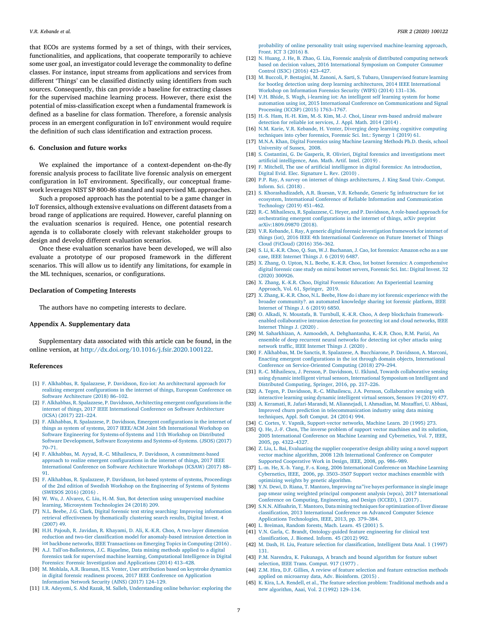<span id="page-8-0"></span>that ECOs are systems formed by a set of things, with their services, functionalities, and applications, that cooperate temporarily to achieve some user goal, an investigator could leverage the commonality to define classes. For instance, input streams from applications and services from different 'Things' can be classified distinctly using identifiers from such sources. Consequently, this can provide a baseline for extracting classes for the supervised machine learning process. However, there exist the potential of miss-classification except when a fundamental framework is defined as a baseline for class formation. Therefore, a forensic analysis process in an emergent configuration in IoT environment would require the definition of such class identification and extraction process.

#### 6. Conclusion and future works

We explained the importance of a context-dependent on-the-fly forensic analysis process to facilitate live forensic analysis on emergent configuration in IoT environment. Specifically, our conceptual framework leverages NIST SP 800-86 standard and supervised ML approaches.

Such a proposed approach has the potential to be a game changer in IoT forensics, although extensive evaluations on different datasets from a broad range of applications are required. However, careful planning on the evaluation scenarios is required. Hence, one potential research agenda is to collaborate closely with relevant stakeholder groups to design and develop different evaluation scenarios.

Once these evaluation scenarios have been developed, we will also evaluate a prototype of our proposed framework in the different scenarios. This will allow us to identify any limitations, for example in the ML techniques, scenarios, or configurations.

#### Declaration of Competing Interests

The authors have no competing interests to declare.

#### Appendix A. Supplementary data

Supplementary data associated with this article can be found, in the online version, at <http://dx.doi.org/10.1016/j.fsir.2020.100122>.

#### References

- [1] F. Alkhabbas, R. Spalazzese, P. Davidsson, Eco-iot: An [architectural](http://refhub.elsevier.com/S2665-9107(20)30071-2/sbref0005) approach for realizing emergent [configurations](http://refhub.elsevier.com/S2665-9107(20)30071-2/sbref0005) in the internet of things, European Conference on Software [Architecture](http://refhub.elsevier.com/S2665-9107(20)30071-2/sbref0005) (2018) 86–102.
- [2] F.Alkhabbas, R. Spalazzese, [P.Davidsson,Architecting](http://refhub.elsevier.com/S2665-9107(20)30071-2/sbref0010) emergent configurationsin the internet of things, 2017 IEEE [International](http://refhub.elsevier.com/S2665-9107(20)30071-2/sbref0010) Conference on Software Architecture (ICSA) [\(2017\)](http://refhub.elsevier.com/S2665-9107(20)30071-2/sbref0010) 221–224.
- [3] F. Alkhabbas, R. Spalazzese, P. Davidsson, Emergent [configurations](http://refhub.elsevier.com/S2665-9107(20)30071-2/sbref0015) in the internet of things as system of systems, 2017 IEEE/ACM Joint 5th [International](http://refhub.elsevier.com/S2665-9107(20)30071-2/sbref0015) Workshop on Software Engineering for [Systems-of-Systems](http://refhub.elsevier.com/S2665-9107(20)30071-2/sbref0015) and 11th Workshop on Distributed Software Development, Software Ecosystems and [Systems-of-Systems.](http://refhub.elsevier.com/S2665-9107(20)30071-2/sbref0015) (JSOS) (2017) 70–[71.](http://refhub.elsevier.com/S2665-9107(20)30071-2/sbref0015)
- [4] F. Alkhabbas, M. Ayyad, R.-C. Mihailescu, P. Davidsson, A [commitment-based](http://refhub.elsevier.com/S2665-9107(20)30071-2/sbref0020) approach to realize emergent [configurations](http://refhub.elsevier.com/S2665-9107(20)30071-2/sbref0020) in the internet of things, 2017 IEEE [International](http://refhub.elsevier.com/S2665-9107(20)30071-2/sbref0020) Conference on Software Architecture Workshops (ICSAW) (2017) 88– [91.](http://refhub.elsevier.com/S2665-9107(20)30071-2/sbref0020) [5] F. Alkhabbas, R. Spalazzese, P. Davidsson, Iot-based systems of systems, [Proceedings](http://refhub.elsevier.com/S2665-9107(20)30071-2/sbref0025)
- of the 2nd edition of Swedish Workshop on the [Engineering](http://refhub.elsevier.com/S2665-9107(20)30071-2/sbref0025) of Systems of Systems [\(SWESOS](http://refhub.elsevier.com/S2665-9107(20)30071-2/sbref0025) 2016) (2016) .
- [6] W. Wu, J. Alvarez, C. Liu, H.-M. Sun, Bot detection using [unsupervised](http://refhub.elsevier.com/S2665-9107(20)30071-2/sbref0030) machine learning, Microsystem [Technologies](http://refhub.elsevier.com/S2665-9107(20)30071-2/sbref0030) 24 (2018) 209.
- [7] N.L. Beebe, J.G. Clark, Digital forensic text string searching: Improving [information](http://refhub.elsevier.com/S2665-9107(20)30071-2/sbref0035) retrieval [effectiveness](http://refhub.elsevier.com/S2665-9107(20)30071-2/sbref0035) by thematically clustering search results, Digital Invest. 4 [\(2007\)](http://refhub.elsevier.com/S2665-9107(20)30071-2/sbref0035) 49.
- [8] H.H. Pajouh, R. Javidan, R. Khayami, D. Ali, K.-K.R. Choo, A two-layer [dimension](http://refhub.elsevier.com/S2665-9107(20)30071-2/sbref0040) reduction and two-tier classification model for [anomaly-based](http://refhub.elsevier.com/S2665-9107(20)30071-2/sbref0040) intrusion detection in iot backbone networks, IEEE [Transactions](http://refhub.elsevier.com/S2665-9107(20)30071-2/sbref0040) on Emerging Topics in Computing (2016) .
- [9] A.J. Tall'[on-Ballesteros,](http://refhub.elsevier.com/S2665-9107(20)30071-2/sbref0045) J.C. Riquelme, Data mining methods applied to a digital forensics task for supervised machine learning, [Computational](http://refhub.elsevier.com/S2665-9107(20)30071-2/sbref0045) Intelligence in Digital Forensics: Forensic [Investigation](http://refhub.elsevier.com/S2665-9107(20)30071-2/sbref0045) and Applications (2014) 413–428.
- [10] M. Mohlala, A.R. Ikuesan, H.S. Venter, User [attribution](http://refhub.elsevier.com/S2665-9107(20)30071-2/sbref0050) based on keystroke dynamics in digital forensic readiness process, 2017 IEEE Conference on [Application](http://refhub.elsevier.com/S2665-9107(20)30071-2/sbref0050) [Information](http://refhub.elsevier.com/S2665-9107(20)30071-2/sbref0050) Network Security (AINS) (2017) 124–129.
- [11] I.R. Adeyemi, S. Abd Razak, M. Salleh, [Understanding](http://refhub.elsevier.com/S2665-9107(20)30071-2/sbref0055) online behavior: exploring the

probability of online personality trait using supervised [machine-learning](http://refhub.elsevier.com/S2665-9107(20)30071-2/sbref0055) approach, Front. ICT 3 [\(2016\)](http://refhub.elsevier.com/S2665-9107(20)30071-2/sbref0055) 8.

- [12] N. Huang, J. He, B. Zhao, G. Liu, Forensic analysis of [distributed](http://refhub.elsevier.com/S2665-9107(20)30071-2/sbref0060) computing network based on decision values, 2016 [International](http://refhub.elsevier.com/S2665-9107(20)30071-2/sbref0060) Symposium on Computer Consumer [Control](http://refhub.elsevier.com/S2665-9107(20)30071-2/sbref0060) (IS3C) (2016) 423–427.
- [13] M. Buccoli, P. Bestagini, M. Zanoni, A. Sarti, S. Tubaro, [Unsupervised](http://refhub.elsevier.com/S2665-9107(20)30071-2/sbref0065) feature learning for bootleg detection using deep learning [architectures,](http://refhub.elsevier.com/S2665-9107(20)30071-2/sbref0065) 2014 IEEE International Workshop on [Information](http://refhub.elsevier.com/S2665-9107(20)30071-2/sbref0065) Forensics Security (WIFS) (2014) 131–136.
- [14] V.H. Bhide, S. Wagh, i-learning iot: An [intelligent](http://refhub.elsevier.com/S2665-9107(20)30071-2/sbref0070) self learning system for home automation using iot, 2015 International Conference on [Communications](http://refhub.elsevier.com/S2665-9107(20)30071-2/sbref0070) and Signal [Processing](http://refhub.elsevier.com/S2665-9107(20)30071-2/sbref0070) (ICCSP) (2015) 1763–1767.
- [15] H.-S. Ham, H.-H. Kim, M.-S. Kim, M.-J. Choi, Linear [svm-based](http://refhub.elsevier.com/S2665-9107(20)30071-2/sbref0075) android malware [detection](http://refhub.elsevier.com/S2665-9107(20)30071-2/sbref0075) for reliable iot services, J. Appl. Math. 2014 (2014) .
- [16] N.M. Karie, V.R. Kebande, H. Venter, Diverging deep learning cognitive [computing](http://refhub.elsevier.com/S2665-9107(20)30071-2/sbref0080) [techniques](http://refhub.elsevier.com/S2665-9107(20)30071-2/sbref0080) into cyber forensics, Forensic Sci. Int.: Synergy 1 (2019) 61.
- [17] M.N.A. Khan, Digital [Forensics](http://refhub.elsevier.com/S2665-9107(20)30071-2/sbref0085) using Machine Learning Methods Ph.D. thesis, school [University](http://refhub.elsevier.com/S2665-9107(20)30071-2/sbref0085) of Sussex, 2008.
- [18] S. Costantini, G. De Gasperis, R. Olivieri, Digital forensics and [investigations](http://refhub.elsevier.com/S2665-9107(20)30071-2/sbref0090) meet artificial [intelligence,](http://refhub.elsevier.com/S2665-9107(20)30071-2/sbref0090) Ann. Math. Artif. Intel. (2019) .
- [19] F. Mitchell, The use of artificial intelligence in digital forensics: An [introduction,](http://refhub.elsevier.com/S2665-9107(20)30071-2/sbref0095) Digital Evid. Elec. [Signature](http://refhub.elsevier.com/S2665-9107(20)30071-2/sbref0095) L. Rev. (2010).
- [20] P.P. Ray, A survey on internet of things architectures, J. King Saud [Univ.-Comput.](http://refhub.elsevier.com/S2665-9107(20)30071-2/sbref0100) [Inform.](http://refhub.elsevier.com/S2665-9107(20)30071-2/sbref0100) Sci. (2018) .
- [21] S. [Khorashadizadeh,](http://refhub.elsevier.com/S2665-9107(20)30071-2/sbref0105) A.R. Ikuesan, V.R. Kebande, Generic 5g infrastructure for iot ecosystem, International Conference of Reliable Information and [Communication](http://refhub.elsevier.com/S2665-9107(20)30071-2/sbref0105) [Technology](http://refhub.elsevier.com/S2665-9107(20)30071-2/sbref0105) (2019) 451–462.
- [22] R.-C. [Mihailescu,](http://refhub.elsevier.com/S2665-9107(20)30071-2/oref0110) R. Spalazzese, C. Heyer, and P. Davidsson, A role-based approach for orchestrating emergent [configurations](http://refhub.elsevier.com/S2665-9107(20)30071-2/oref0110) in the internet of things, arXiv preprint [arXiv:1809.09870](http://refhub.elsevier.com/S2665-9107(20)30071-2/oref0110) (2018).
- [23] V.R. Kebande, I. Ray, A generic digital forensic [investigation](http://refhub.elsevier.com/S2665-9107(20)30071-2/sbref0115) framework for internet of things (iot), 2016 IEEE 4th [International](http://refhub.elsevier.com/S2665-9107(20)30071-2/sbref0115) Conference on Future Internet of Things Cloud [\(FiCloud\)](http://refhub.elsevier.com/S2665-9107(20)30071-2/sbref0115) (2016) 356–362.
- [24] S. Li, K.-K.R. Choo, Q. Sun, W.J. [Buchanan,](http://refhub.elsevier.com/S2665-9107(20)30071-2/sbref0120) J. Cao, Iot forensics: Amazon echo as a use case, IEEE [Internet](http://refhub.elsevier.com/S2665-9107(20)30071-2/sbref0120) Things J. 6 (2019) 6487.
- [25] X. Zhang, O. Upton, N.L. Beebe, K.-K.R. Choo, Iot botnet forensics: A [comprehensive](http://refhub.elsevier.com/S2665-9107(20)30071-2/sbref0125) digital forensic case study on mirai botnet servers, [Forensic](http://refhub.elsevier.com/S2665-9107(20)30071-2/sbref0125) Sci. Int.: Digital Invest. 32 (2020) [300926.](http://refhub.elsevier.com/S2665-9107(20)30071-2/sbref0125)
- [26] X. Zhang, K.-K.R. Choo, Digital Forensic Education: An [Experiential](http://refhub.elsevier.com/S2665-9107(20)30071-2/sbref0130) Learning [Approach,](http://refhub.elsevier.com/S2665-9107(20)30071-2/sbref0130) Vol. 61, Springer, 2019.
- [27] X. Zhang, K.-K.R. Choo, N.L. Beebe, How do ishare my iot forensic [experience](http://refhub.elsevier.com/S2665-9107(20)30071-2/sbref0135) with the broader [community?.](http://refhub.elsevier.com/S2665-9107(20)30071-2/sbref0135) an automated knowledge sharing iot forensic platform, IEEE [Internet](http://refhub.elsevier.com/S2665-9107(20)30071-2/sbref0135) of Things J. 6 (2019) 6850.
- [28] O. Alkadi, N. Moustafa, B. Turnbull, K.-K.R. Choo, A deep blockchain [framework](http://refhub.elsevier.com/S2665-9107(20)30071-2/sbref0140)enabled [collaborative](http://refhub.elsevier.com/S2665-9107(20)30071-2/sbref0140) intrusion detection for protecting iot and cloud networks, IEEE [Internet](http://refhub.elsevier.com/S2665-9107(20)30071-2/sbref0140) Things J. (2020) .
- [29] M. Saharkhizan, A. Azmoodeh, A. [Dehghantanha,](http://refhub.elsevier.com/S2665-9107(20)30071-2/sbref0145) K.-K.R. Choo, R.M. Parizi, An [ensemble](http://refhub.elsevier.com/S2665-9107(20)30071-2/sbref0145) of deep recurrent neural networks for detecting iot cyber attacks using [network](http://refhub.elsevier.com/S2665-9107(20)30071-2/sbref0145) traffic, IEEE Internet Things J. (2020) .
- [30] F. Alkhabbas, M. De Sanctis, R. Spalazzese, A. [Bucchiarone,](http://refhub.elsevier.com/S2665-9107(20)30071-2/sbref0150) P. Davidsson, A. Marconi, Enacting emergent [configurations](http://refhub.elsevier.com/S2665-9107(20)30071-2/sbref0150) in the iot through domain objects, International Conference on [Service-Oriented](http://refhub.elsevier.com/S2665-9107(20)30071-2/sbref0150) Computing (2018) 279–294.
- [31] R.-C. Mihailescu, J. Persson, P. Davidsson, U. Eklund, Towards [collaborative](http://refhub.elsevier.com/S2665-9107(20)30071-2/sbref0155) sensing using dynamic intelligent virtual sensors, International Symposium on Intelligent and Distributed [Computing,](http://refhub.elsevier.com/S2665-9107(20)30071-2/sbref0155) Springer, 2016, pp. 217–226.
- [32] A. Tegen, P. Davidsson, R.-C. Mihailescu, J.A. Persson, [Collaborative](http://refhub.elsevier.com/S2665-9107(20)30071-2/sbref0160) sensing with [interactive](http://refhub.elsevier.com/S2665-9107(20)30071-2/sbref0160) learning using dynamic intelligent virtual sensors, Sensors 19 (2019) 477.
- [33] A. Keramati, R. [Jafari-Marandi,](http://refhub.elsevier.com/S2665-9107(20)30071-2/sbref0165) M. Aliannejadi, I. Ahmadian, M. Mozaffari, U. Abbasi, Improved churn prediction in [telecommunication](http://refhub.elsevier.com/S2665-9107(20)30071-2/sbref0165) industry using data mining [techniques,](http://refhub.elsevier.com/S2665-9107(20)30071-2/sbref0165) Appl. Soft Comput. 24 (2014) 994.
- [34] C. Cortes, V. Vapnik, [Support-vector](http://refhub.elsevier.com/S2665-9107(20)30071-2/sbref0170) networks, Machine Learn. 20 (1995) 273.
- [35] Q. He, J.-F. Chen, The inverse problem of support vector [machines](http://refhub.elsevier.com/S2665-9107(20)30071-2/sbref0175) and its solution, 2005 [International](http://refhub.elsevier.com/S2665-9107(20)30071-2/sbref0175) Conference on Machine Learning and Cybernetics, Vol. 7, IEEE, [2005,](http://refhub.elsevier.com/S2665-9107(20)30071-2/sbref0175) pp. 4322–4327.
- [36] Z. Liu, L. Bai, Evaluating the supplier [cooperative](http://refhub.elsevier.com/S2665-9107(20)30071-2/sbref0180) design ability using a novel support vector machine algorithm, 2008 12th [International](http://refhub.elsevier.com/S2665-9107(20)30071-2/sbref0180) Conference on Computer Supported [Cooperative](http://refhub.elsevier.com/S2665-9107(20)30071-2/sbref0180) Work in Design, IEEE, 2008, pp. 986–989.
- [37] L.-m. He, X.-b. Yang, F.-s. Kong, 2006 [International](http://refhub.elsevier.com/S2665-9107(20)30071-2/sbref0185) Conference on Machine Learning [Cybernetics,](http://refhub.elsevier.com/S2665-9107(20)30071-2/sbref0185) IEEE, 2006, pp. 3503–3507 Support vector machines ensemble with [optimizing](http://refhub.elsevier.com/S2665-9107(20)30071-2/sbref0185) weights by genetic algorithm.
- [38] Y.N. Dewi, D. Riana, T. Mantoro, Improving na"ive bayes [performance](http://refhub.elsevier.com/S2665-9107(20)30071-2/sbref0190) in single image pap smear using weighted principal component analysis (wpca), 2017 [International](http://refhub.elsevier.com/S2665-9107(20)30071-2/sbref0190) Conference on Computing, [Engineering,](http://refhub.elsevier.com/S2665-9107(20)30071-2/sbref0190) and Design (ICCED), 1 (2017)
- [39] S.N.N. Alfisahrin, T. Mantoro, Data mining [techniquesfor](http://refhub.elsevier.com/S2665-9107(20)30071-2/sbref0195) optimization of liver disease [classification,](http://refhub.elsevier.com/S2665-9107(20)30071-2/sbref0195) 2013 International Conference on Advanced Computer Science Applications [Technologies,](http://refhub.elsevier.com/S2665-9107(20)30071-2/sbref0195) IEEE, 2013, pp. 379–384.
- [40] L. [Breiman,](http://refhub.elsevier.com/S2665-9107(20)30071-2/sbref0200) Random forests, Mach. Learn. 45 (2001) 5.
- [41] V.N. Garla, C. Brandt, [Ontology-guided](http://refhub.elsevier.com/S2665-9107(20)30071-2/sbref0205) feature engineering for clinical text [classification,](http://refhub.elsevier.com/S2665-9107(20)30071-2/sbref0205) J. Biomed. Inform. 45 (2012) 992.
- [42] M. Dash, H. Liu, Feature selection for [classification,](http://refhub.elsevier.com/S2665-9107(20)30071-2/sbref0210) Intelligent Data Anal. 1 (1997) [131.](http://refhub.elsevier.com/S2665-9107(20)30071-2/sbref0210)
- [43] P.M. Narendra, K. [Fukunaga,](http://refhub.elsevier.com/S2665-9107(20)30071-2/sbref0215) A branch and bound algorithm for feature subset [selection,](http://refhub.elsevier.com/S2665-9107(20)30071-2/sbref0215) IEEE Trans. Comput. 917 (1977)
- [44] Z.M. Hira, D.F. Gillies, A review of feature selection and feature [extraction](http://refhub.elsevier.com/S2665-9107(20)30071-2/sbref0220) methods applied on [microarray](http://refhub.elsevier.com/S2665-9107(20)30071-2/sbref0220) data, Adv. Bioinform. (2015) .
- [45] K. Kira, L.A. Rendell, et al., The feature selection problem: [Traditional](http://refhub.elsevier.com/S2665-9107(20)30071-2/sbref0225) methods and a new [algorithm,](http://refhub.elsevier.com/S2665-9107(20)30071-2/sbref0225) Aaai, Vol. 2 (1992) 129–134.